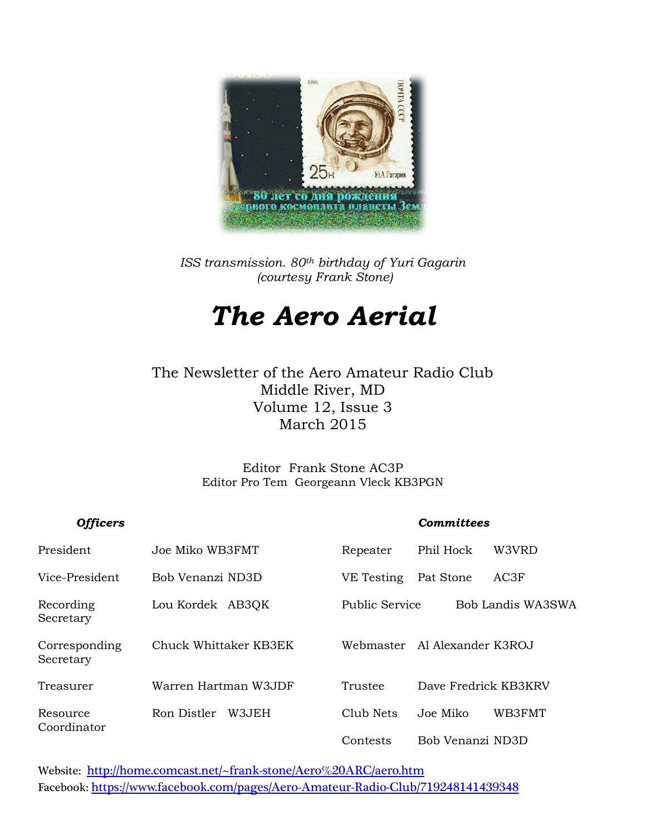

*ISS transmission. 80th birthday of Yuri Gagarin (courtesy Frank Stone)*

# *The Aero Aerial*

The Newsletter of the Aero Amateur Radio Club Middle River, MD Volume 12, Issue 3 March 2015

> Editor Frank Stone AC3P Editor Pro Tem Georgeann Vleck KB3PGN

| <b>Officers</b>            |                       |                | <b>Committees</b>    |
|----------------------------|-----------------------|----------------|----------------------|
| President                  | Joe Miko WB3FMT       | Repeater       | Phil Hock<br>W3VRD   |
| Vice-President             | Bob Venanzi ND3D      | VE Testing     | AC3F<br>Pat Stone    |
| Recording<br>Secretary     | Lou Kordek AB3QK      | Public Service | Bob Landis WA3SWA    |
| Corresponding<br>Secretary | Chuck Whittaker KB3EK | Webmaster      | Al Alexander K3ROJ   |
| Treasurer                  | Warren Hartman W3JDF  | Trustee        | Dave Fredrick KB3KRV |
| Resource                   | Ron Distler<br>W3JEH  | Club Nets      | WB3FMT<br>Joe Miko   |
| Coordinator                |                       | Contests       | Bob Venanzi ND3D     |

Website: <http://home.comcast.net/~frank-stone/Aero%20ARC/aero.htm> Facebook: <https://www.facebook.com/pages/Aero-Amateur-Radio-Club/719248141439348>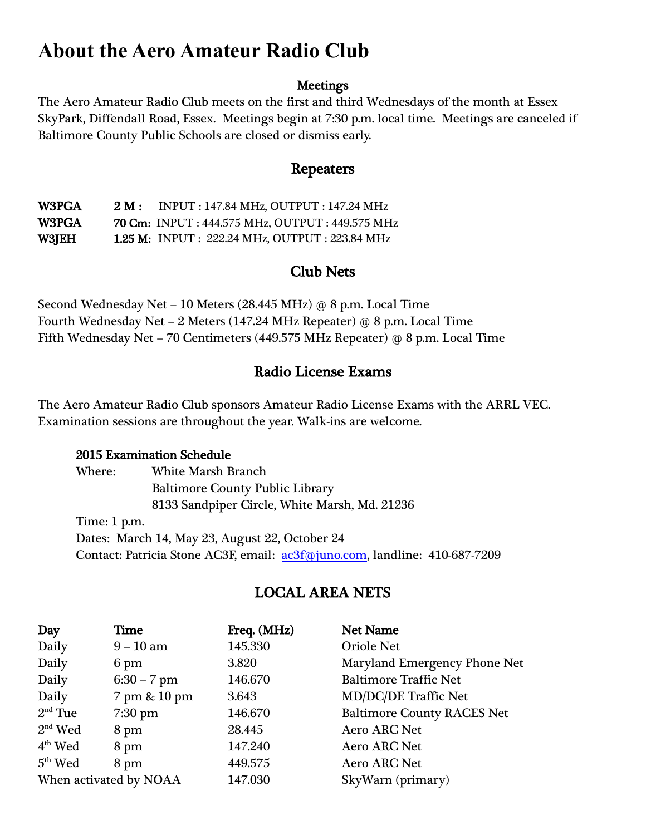# **About the Aero Amateur Radio Club**

#### **Meetings**

The Aero Amateur Radio Club meets on the first and third Wednesdays of the month at Essex SkyPark, Diffendall Road, Essex. Meetings begin at 7:30 p.m. local time. Meetings are canceled if Baltimore County Public Schools are closed or dismiss early.

#### Repeaters

W3PGA 2 M : INPUT : 147.84 MHz, OUTPUT : 147.24 MHz W3PGA 70 Cm: INPUT : 444.575 MHz, OUTPUT : 449.575 MHz W3JEH 1.25 M: INPUT : 222.24 MHz, OUTPUT : 223.84 MHz

#### Club Nets

Second Wednesday Net – 10 Meters (28.445 MHz) @ 8 p.m. Local Time Fourth Wednesday Net – 2 Meters (147.24 MHz Repeater) @ 8 p.m. Local Time Fifth Wednesday Net – 70 Centimeters (449.575 MHz Repeater) @ 8 p.m. Local Time

#### Radio License Exams

The Aero Amateur Radio Club sponsors Amateur Radio License Exams with the ARRL VEC. Examination sessions are throughout the year. Walk-ins are welcome.

#### 2015 Examination Schedule

Where: White Marsh Branch Baltimore County Public Library 8133 Sandpiper Circle, White Marsh, Md. 21236 Time: 1 p.m. Dates: March 14, May 23, August 22, October 24 Contact: Patricia Stone AC3F, email: <u>ac3f@juno.com</u>, landline: 410-687-7209

## LOCAL AREA NETS

| Day                    | Time          | Freq. (MHz) | <b>Net Name</b>                   |
|------------------------|---------------|-------------|-----------------------------------|
| Daily                  | $9 - 10$ am   | 145.330     | <b>Oriole Net</b>                 |
| Daily                  | 6 pm          | 3.820       | Maryland Emergency Phone Net      |
| Daily                  | $6:30 - 7$ pm | 146.670     | <b>Baltimore Traffic Net</b>      |
| Daily                  | 7 pm & 10 pm  | 3.643       | <b>MD/DC/DE Traffic Net</b>       |
| $2nd$ Tue              | $7:30$ pm     | 146.670     | <b>Baltimore County RACES Net</b> |
| $2nd$ Wed              | 8 pm          | 28.445      | <b>Aero ARC Net</b>               |
| $4th$ Wed              | 8 pm          | 147.240     | <b>Aero ARC Net</b>               |
| $5th$ Wed              | 8 pm          | 449.575     | <b>Aero ARC Net</b>               |
| When activated by NOAA |               | 147.030     | SkyWarn (primary)                 |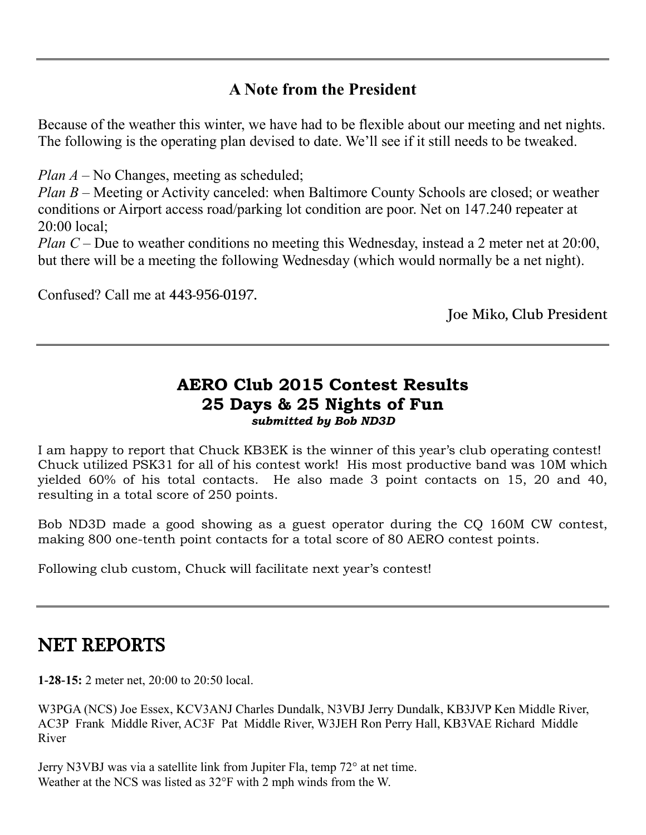## **A Note from the President**

Because of the weather this winter, we have had to be flexible about our meeting and net nights. The following is the operating plan devised to date. We'll see if it still needs to be tweaked.

*Plan A* – No Changes, meeting as scheduled;

*Plan B* – Meeting or Activity canceled: when Baltimore County Schools are closed; or weather conditions or Airport access road/parking lot condition are poor. Net on 147.240 repeater at 20:00 local;

*Plan C* – Due to weather conditions no meeting this Wednesday, instead a 2 meter net at 20:00, but there will be a meeting the following Wednesday (which would normally be a net night).

Confused? Call me at 443-956-0197.

Joe Miko, Club President

#### **AERO Club 2015 Contest Results 25 Days & 25 Nights of Fun** *submitted by Bob ND3D*

I am happy to report that Chuck KB3EK is the winner of this year's club operating contest! Chuck utilized PSK31 for all of his contest work! His most productive band was 10M which yielded 60% of his total contacts. He also made 3 point contacts on 15, 20 and 40, resulting in a total score of 250 points.

Bob ND3D made a good showing as a guest operator during the CQ 160M CW contest, making 800 one-tenth point contacts for a total score of 80 AERO contest points.

Following club custom, Chuck will facilitate next year's contest!

## NET REPORTS

**1-28-15:** 2 meter net, 20:00 to 20:50 local.

W3PGA (NCS) Joe Essex, KCV3ANJ Charles Dundalk, N3VBJ Jerry Dundalk, KB3JVP Ken Middle River, AC3P Frank Middle River, AC3F Pat Middle River, W3JEH Ron Perry Hall, KB3VAE Richard Middle River

Jerry N3VBJ was via a satellite link from Jupiter Fla, temp 72° at net time. Weather at the NCS was listed as 32°F with 2 mph winds from the W.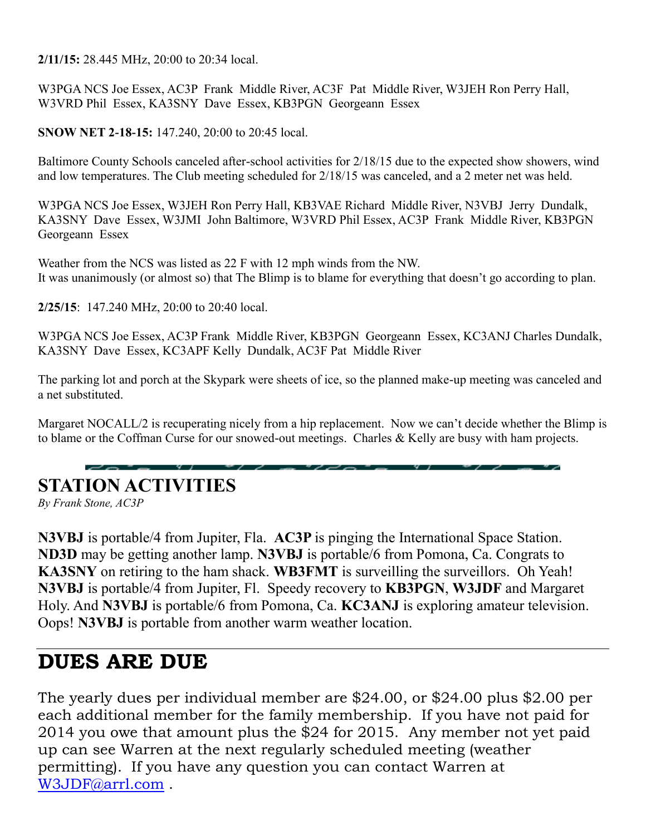**2/11/15:** 28.445 MHz, 20:00 to 20:34 local.

W3PGA NCS Joe Essex, AC3P Frank Middle River, AC3F Pat Middle River, W3JEH Ron Perry Hall, W3VRD Phil Essex, KA3SNY Dave Essex, KB3PGN Georgeann Essex

**SNOW NET 2-18-15:** 147.240, 20:00 to 20:45 local.

Baltimore County Schools canceled after-school activities for 2/18/15 due to the expected show showers, wind and low temperatures. The Club meeting scheduled for 2/18/15 was canceled, and a 2 meter net was held.

W3PGA NCS Joe Essex, W3JEH Ron Perry Hall, KB3VAE Richard Middle River, N3VBJ Jerry Dundalk, KA3SNY Dave Essex, W3JMI John Baltimore, W3VRD Phil Essex, AC3P Frank Middle River, KB3PGN Georgeann Essex

Weather from the NCS was listed as 22 F with 12 mph winds from the NW. It was unanimously (or almost so) that The Blimp is to blame for everything that doesn't go according to plan.

**2/25/15**: 147.240 MHz, 20:00 to 20:40 local.

W3PGA NCS Joe Essex, AC3P Frank Middle River, KB3PGN Georgeann Essex, KC3ANJ Charles Dundalk, KA3SNY Dave Essex, KC3APF Kelly Dundalk, AC3F Pat Middle River

The parking lot and porch at the Skypark were sheets of ice, so the planned make-up meeting was canceled and a net substituted.

Margaret NOCALL/2 is recuperating nicely from a hip replacement. Now we can't decide whether the Blimp is to blame or the Coffman Curse for our snowed-out meetings. Charles & Kelly are busy with ham projects.

## **STATION ACTIVITIES**

*By Frank Stone, AC3P*

**N3VBJ** is portable/4 from Jupiter, Fla. **AC3P** is pinging the International Space Station. **ND3D** may be getting another lamp. **N3VBJ** is portable/6 from Pomona, Ca. Congrats to **KA3SNY** on retiring to the ham shack. **WB3FMT** is surveilling the surveillors. Oh Yeah! **N3VBJ** is portable/4 from Jupiter, Fl. Speedy recovery to **KB3PGN**, **W3JDF** and Margaret Holy. And **N3VBJ** is portable/6 from Pomona, Ca. **KC3ANJ** is exploring amateur television. Oops! **N3VBJ** is portable from another warm weather location.

## **DUES ARE DUE**

The yearly dues per individual member are \$24.00, or \$24.00 plus \$2.00 per each additional member for the family membership. If you have not paid for 2014 you owe that amount plus the \$24 for 2015. Any member not yet paid up can see Warren at the next regularly scheduled meeting (weather permitting). If you have any question you can contact Warren at [W3JDF@arrl.com](mailto:W3JDF@arrl.com) .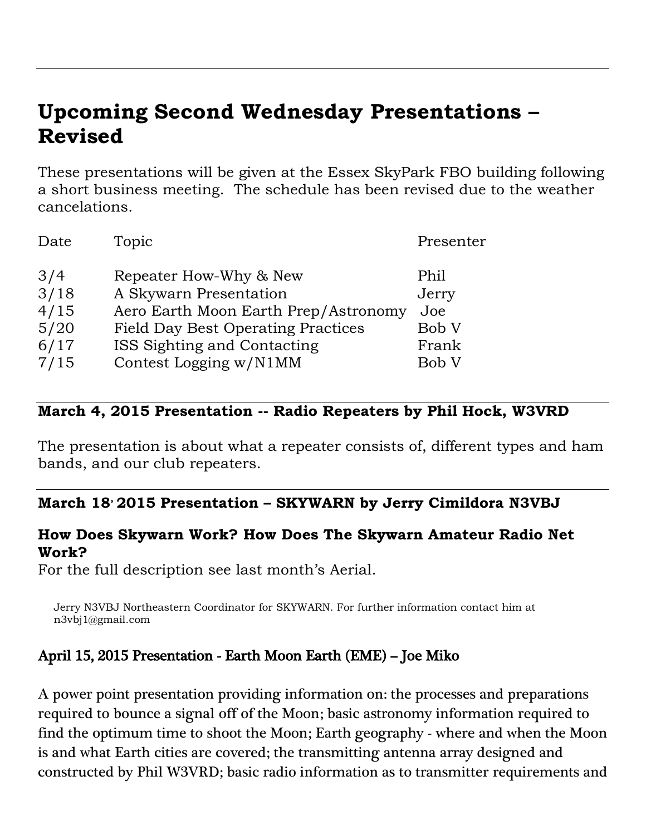# **Upcoming Second Wednesday Presentations – Revised**

These presentations will be given at the Essex SkyPark FBO building following a short business meeting. The schedule has been revised due to the weather cancelations.

| Date | Topic                                     | Presenter |
|------|-------------------------------------------|-----------|
| 3/4  | Repeater How-Why & New                    | Phil      |
| 3/18 | A Skywarn Presentation                    | Jerry     |
| 4/15 | Aero Earth Moon Earth Prep/Astronomy      | Joe       |
| 5/20 | <b>Field Day Best Operating Practices</b> | Bob V     |
| 6/17 | ISS Sighting and Contacting               | Frank     |
| 7/15 | Contest Logging w/N1MM                    | Bob V     |

#### **March 4, 2015 Presentation -- Radio Repeaters by Phil Hock, W3VRD**

The presentation is about what a repeater consists of, different types and ham bands, and our club repeaters.

### **March 18, 2015 Presentation – SKYWARN by Jerry Cimildora N3VBJ**

#### **How Does Skywarn Work? How Does The Skywarn Amateur Radio Net Work?**

For the full description see last month's Aerial.

Jerry N3VBJ Northeastern Coordinator for SKYWARN. For further information contact him at n3vbj1@gmail.com

### April 15, 2015 Presentation - Earth Moon Earth (EME) – Joe Miko

A power point presentation providing information on: the processes and preparations required to bounce a signal off of the Moon; basic astronomy information required to find the optimum time to shoot the Moon; Earth geography - where and when the Moon is and what Earth cities are covered; the transmitting antenna array designed and constructed by Phil W3VRD; basic radio information as to transmitter requirements and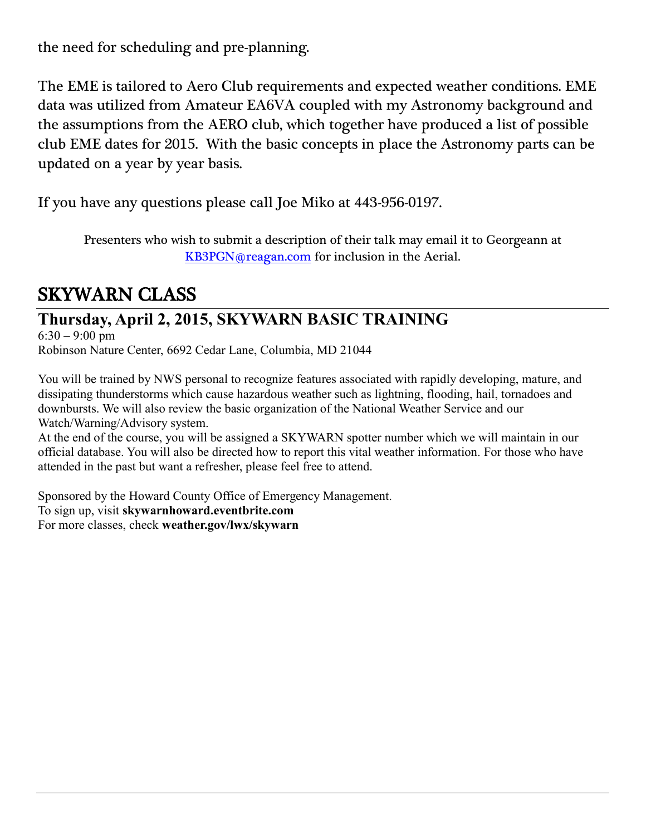the need for scheduling and pre-planning.

The EME is tailored to Aero Club requirements and expected weather conditions. EME data was utilized from Amateur EA6VA coupled with my Astronomy background and the assumptions from the AERO club, which together have produced a list of possible club EME dates for 2015. With the basic concepts in place the Astronomy parts can be updated on a year by year basis.

If you have any questions please call Joe Miko at 443-956-0197.

Presenters who wish to submit a description of their talk may email it to Georgeann at [KB3PGN@reagan.com](mailto:KB3PGN@reagan.com) for inclusion in the Aerial.

## SKYWARN CLASS

## **Thursday, April 2, 2015, SKYWARN BASIC TRAINING**

 $6:30 - 9:00$  pm Robinson Nature Center, 6692 Cedar Lane, Columbia, MD 21044

You will be trained by NWS personal to recognize features associated with rapidly developing, mature, and dissipating thunderstorms which cause hazardous weather such as lightning, flooding, hail, tornadoes and downbursts. We will also review the basic organization of the National Weather Service and our Watch/Warning/Advisory system.

At the end of the course, you will be assigned a SKYWARN spotter number which we will maintain in our official database. You will also be directed how to report this vital weather information. For those who have attended in the past but want a refresher, please feel free to attend.

Sponsored by the Howard County Office of Emergency Management. To sign up, visit **skywarnhoward.eventbrite.com** For more classes, check **weather.gov/lwx/skywarn**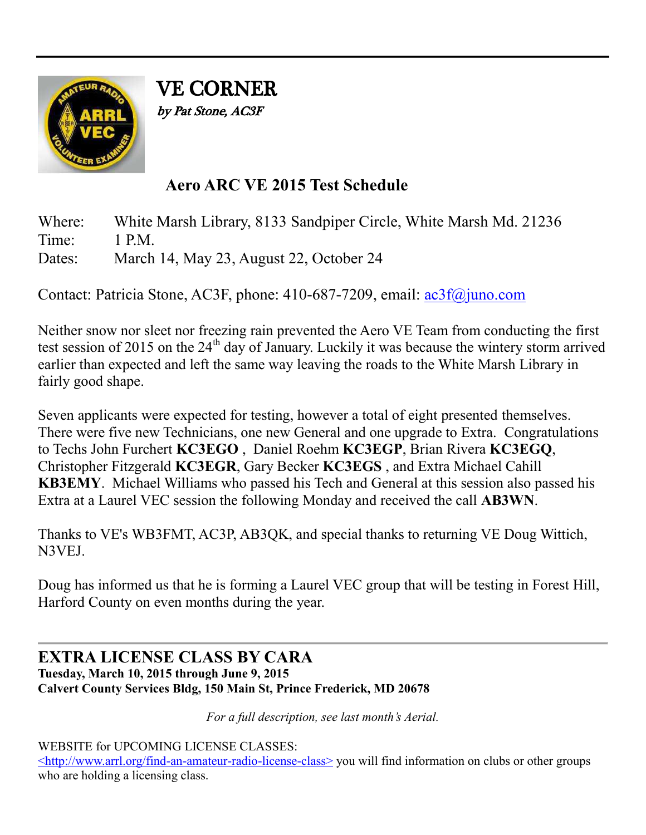

VE CORNER by Pat Stone, AC3F

## **Aero ARC VE 2015 Test Schedule**

Where: White Marsh Library, 8133 Sandpiper Circle, White Marsh Md. 21236 Time: 1 PM

Dates: March 14, May 23, August 22, October 24

Contact: Patricia Stone, AC3F, phone: 410-687-7209, email: [ac3f@juno.com](mailto:ac3f@juno.com)

Neither snow nor sleet nor freezing rain prevented the Aero VE Team from conducting the first test session of 2015 on the 24<sup>th</sup> day of January. Luckily it was because the wintery storm arrived earlier than expected and left the same way leaving the roads to the White Marsh Library in fairly good shape.

Seven applicants were expected for testing, however a total of eight presented themselves. There were five new Technicians, one new General and one upgrade to Extra. Congratulations to Techs John Furchert **KC3EGO** , Daniel Roehm **KC3EGP**, Brian Rivera **KC3EGQ**, Christopher Fitzgerald **KC3EGR**, Gary Becker **KC3EGS** , and Extra Michael Cahill **KB3EMY**. Michael Williams who passed his Tech and General at this session also passed his Extra at a Laurel VEC session the following Monday and received the call **AB3WN**.

Thanks to VE's WB3FMT, AC3P, AB3QK, and special thanks to returning VE Doug Wittich, N3VEJ.

Doug has informed us that he is forming a Laurel VEC group that will be testing in Forest Hill, Harford County on even months during the year.

#### **EXTRA LICENSE CLASS BY CARA Tuesday, March 10, 2015 through June 9, 2015 Calvert County Services Bldg, 150 Main St, Prince Frederick, MD 20678**

*For a full description, see last month's Aerial.*

WEBSITE for UPCOMING LICENSE CLASSES:

[<http://www.arrl.org/find-an-amateur-radio-license-class>](http://www.arrl.org/find-an-amateur-radio-license-class) you will find information on clubs or other groups who are holding a licensing class.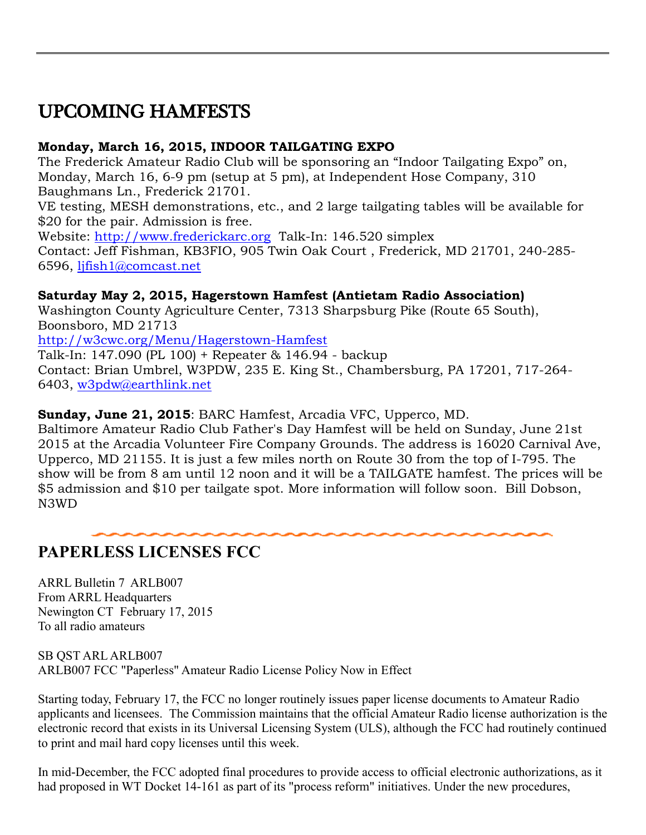# UPCOMING HAMFESTS

#### **Monday, March 16, 2015, INDOOR TAILGATING EXPO**

The Frederick Amateur Radio Club will be sponsoring an "Indoor Tailgating Expo" on, Monday, March 16, 6-9 pm (setup at 5 pm), at Independent Hose Company, 310 Baughmans Ln., Frederick 21701.

VE testing, MESH demonstrations, etc., and 2 large tailgating tables will be available for \$20 for the pair. Admission is free.

Website: [http://www.frederickarc.org](http://www.frederickarc.org/) Talk-In: 146.520 simplex

Contact: Jeff Fishman, KB3FIO, 905 Twin Oak Court , Frederick, MD 21701, 240-285- 6596, [ljfish1@comcast.net](mailto:ljfish1@comcast.net)

#### **Saturday May 2, 2015, Hagerstown Hamfest (Antietam Radio Association)**

Washington County Agriculture Center, 7313 Sharpsburg Pike (Route 65 South), Boonsboro, MD 21713

<http://w3cwc.org/Menu/Hagerstown-Hamfest>

Talk-In: 147.090 (PL 100) + Repeater & 146.94 - backup

Contact: Brian Umbrel, W3PDW, 235 E. King St., Chambersburg, PA 17201, 717-264- 6403, [w3pdw@earthlink.net](mailto:w3pdw@earthlink.net)

**Sunday, June 21, 2015**: BARC Hamfest, Arcadia VFC, Upperco, MD.

Baltimore Amateur Radio Club Father's Day Hamfest will be held on Sunday, June 21st 2015 at the Arcadia Volunteer Fire Company Grounds. The address is 16020 Carnival Ave, Upperco, MD 21155. It is just a few miles north on Route 30 from the top of I-795. The show will be from 8 am until 12 noon and it will be a TAILGATE hamfest. The prices will be \$5 admission and \$10 per tailgate spot. More information will follow soon. Bill Dobson, N3WD

## **PAPERLESS LICENSES FCC**

ARRL Bulletin 7 ARLB007 From ARRL Headquarters Newington CT February 17, 2015 To all radio amateurs

SB QST ARL ARLB007 ARLB007 FCC "Paperless" Amateur Radio License Policy Now in Effect

Starting today, February 17, the FCC no longer routinely issues paper license documents to Amateur Radio applicants and licensees. The Commission maintains that the official Amateur Radio license authorization is the electronic record that exists in its Universal Licensing System (ULS), although the FCC had routinely continued to print and mail hard copy licenses until this week.

In mid-December, the FCC adopted final procedures to provide access to official electronic authorizations, as it had proposed in WT Docket 14-161 as part of its "process reform" initiatives. Under the new procedures,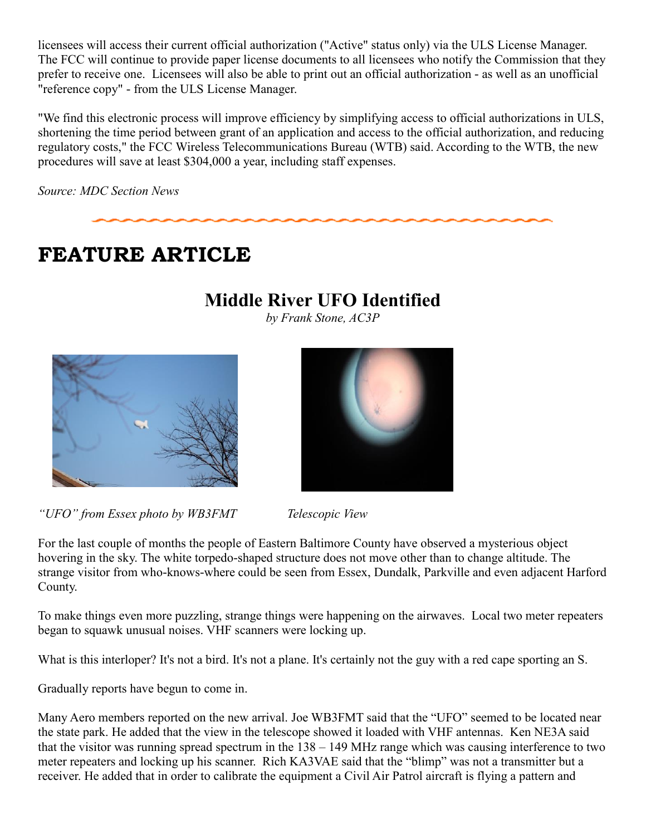licensees will access their current official authorization ("Active" status only) via the ULS License Manager. The FCC will continue to provide paper license documents to all licensees who notify the Commission that they prefer to receive one. Licensees will also be able to print out an official authorization - as well as an unofficial "reference copy" - from the ULS License Manager.

"We find this electronic process will improve efficiency by simplifying access to official authorizations in ULS, shortening the time period between grant of an application and access to the official authorization, and reducing regulatory costs," the FCC Wireless Telecommunications Bureau (WTB) said. According to the WTB, the new procedures will save at least \$304,000 a year, including staff expenses.

*Source: MDC Section News*

# **FEATURE ARTICLE**

## **Middle River UFO Identified**

*by Frank Stone, AC3P*





*"UFO" from Essex photo by WB3FMT Telescopic View* 

For the last couple of months the people of Eastern Baltimore County have observed a mysterious object hovering in the sky. The white torpedo-shaped structure does not move other than to change altitude. The strange visitor from who-knows-where could be seen from Essex, Dundalk, Parkville and even adjacent Harford County.

To make things even more puzzling, strange things were happening on the airwaves. Local two meter repeaters began to squawk unusual noises. VHF scanners were locking up.

What is this interloper? It's not a bird. It's not a plane. It's certainly not the guy with a red cape sporting an S.

Gradually reports have begun to come in.

Many Aero members reported on the new arrival. Joe WB3FMT said that the "UFO" seemed to be located near the state park. He added that the view in the telescope showed it loaded with VHF antennas. Ken NE3A said that the visitor was running spread spectrum in the 138 – 149 MHz range which was causing interference to two meter repeaters and locking up his scanner. Rich KA3VAE said that the "blimp" was not a transmitter but a receiver. He added that in order to calibrate the equipment a Civil Air Patrol aircraft is flying a pattern and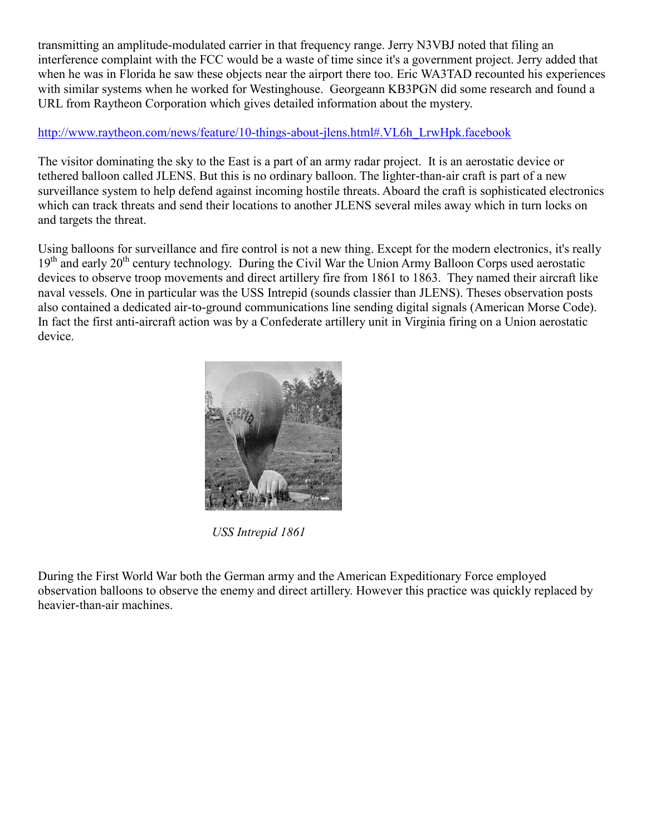transmitting an amplitude-modulated carrier in that frequency range. Jerry N3VBJ noted that filing an interference complaint with the FCC would be a waste of time since it's a government project. Jerry added that when he was in Florida he saw these objects near the airport there too. Eric WA3TAD recounted his experiences with similar systems when he worked for Westinghouse. Georgeann KB3PGN did some research and found a URL from Raytheon Corporation which gives detailed information about the mystery.

#### [http://www.raytheon.com/news/feature/10-things-about-jlens.html#.VL6h\\_LrwHpk.facebook](http://www.raytheon.com/news/feature/10-things-about-jlens.html#.VL6h_LrwHpk.facebook)

The visitor dominating the sky to the East is a part of an army radar project. It is an aerostatic device or tethered balloon called JLENS. But this is no ordinary balloon. The lighter-than-air craft is part of a new surveillance system to help defend against incoming hostile threats. Aboard the craft is sophisticated electronics which can track threats and send their locations to another JLENS several miles away which in turn locks on and targets the threat.

Using balloons for surveillance and fire control is not a new thing. Except for the modern electronics, it's really 19<sup>th</sup> and early 20<sup>th</sup> century technology. During the Civil War the Union Army Balloon Corps used aerostatic devices to observe troop movements and direct artillery fire from 1861 to 1863. They named their aircraft like naval vessels. One in particular was the USS Intrepid (sounds classier than JLENS). Theses observation posts also contained a dedicated air-to-ground communications line sending digital signals (American Morse Code). In fact the first anti-aircraft action was by a Confederate artillery unit in Virginia firing on a Union aerostatic device.



 *USS Intrepid 1861*

During the First World War both the German army and the American Expeditionary Force employed observation balloons to observe the enemy and direct artillery. However this practice was quickly replaced by heavier-than-air machines.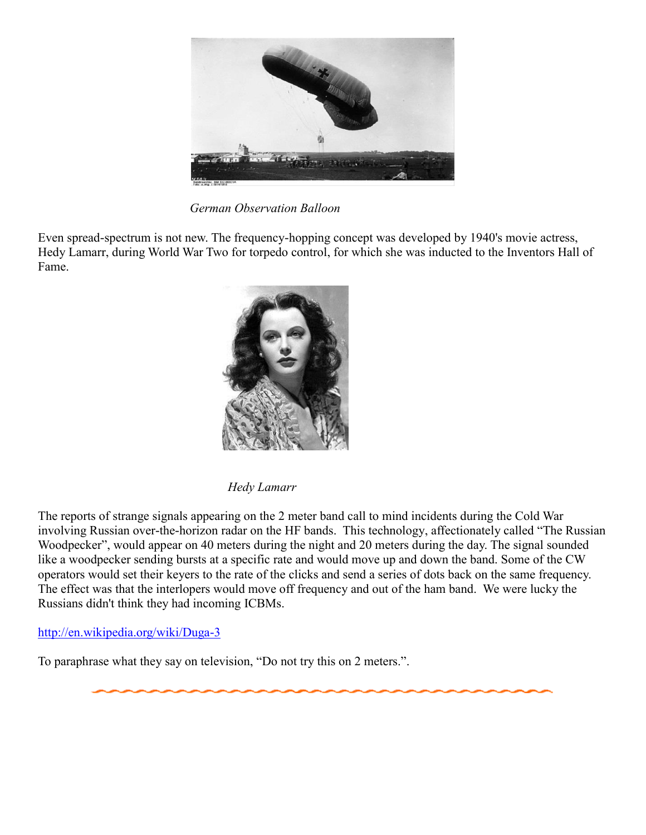

*German Observation Balloon*

Even spread-spectrum is not new. The frequency-hopping concept was developed by 1940's movie actress, Hedy Lamarr, during World War Two for torpedo control, for which she was inducted to the Inventors Hall of Fame.



*Hedy Lamarr*

The reports of strange signals appearing on the 2 meter band call to mind incidents during the Cold War involving Russian over-the-horizon radar on the HF bands. This technology, affectionately called "The Russian Woodpecker", would appear on 40 meters during the night and 20 meters during the day. The signal sounded like a woodpecker sending bursts at a specific rate and would move up and down the band. Some of the CW operators would set their keyers to the rate of the clicks and send a series of dots back on the same frequency. The effect was that the interlopers would move off frequency and out of the ham band. We were lucky the Russians didn't think they had incoming ICBMs.

#### <http://en.wikipedia.org/wiki/Duga-3>

To paraphrase what they say on television, "Do not try this on 2 meters.".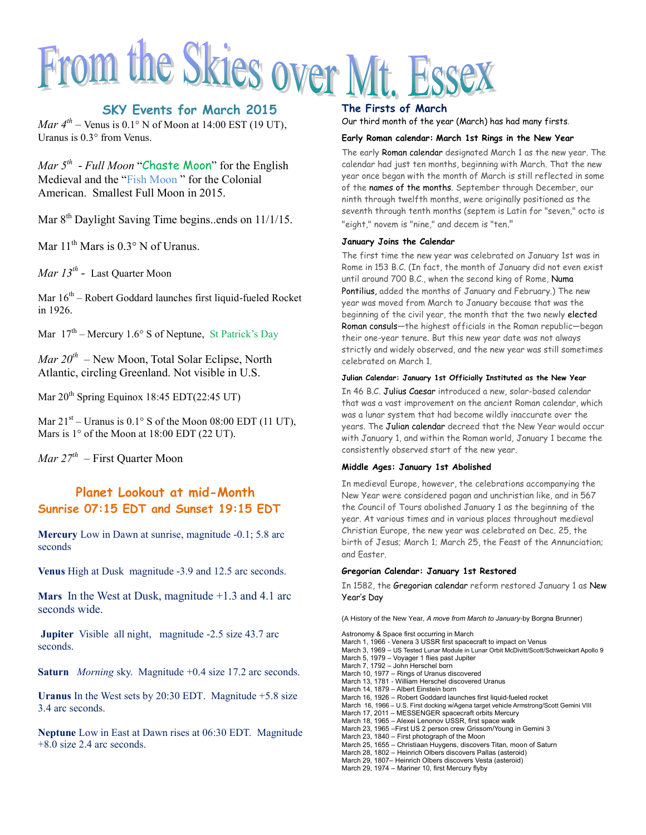# From the Skies over Mt. Essex

#### **SKY Events for March 2015**

*Mar*  $4^{th}$  – Venus is 0.1° N of Moon at 14:00 EST (19 UT), Uranus is 0.3° from Venus.

*Mar 5 th - Full Moon* "Chaste Moon" for the English Medieval and the "Fish Moon " for the Colonial American. Smallest Full Moon in 2015.

Mar 8<sup>th</sup> Daylight Saving Time begins..ends on 11/1/15.

Mar  $11<sup>th</sup>$  Mars is 0.3° N of Uranus.

*Mar 13th -* Last Quarter Moon

Mar  $16^{th}$  – Robert Goddard launches first liquid-fueled Rocket in 1926.

Mar  $17<sup>th</sup>$  – Mercury 1.6° S of Neptune, St Patrick's Day

*Mar 20th –* New Moon, Total Solar Eclipse, North Atlantic, circling Greenland. Not visible in U.S.

Mar  $20^{th}$  Spring Equinox 18:45 EDT(22:45 UT)

Mar  $21<sup>st</sup>$  – Uranus is  $0.1<sup>°</sup>$  S of the Moon 08:00 EDT (11 UT), Mars is 1° of the Moon at 18:00 EDT (22 UT).

*Mar 27th –* First Quarter Moon

#### **Planet Lookout at mid-Month Sunrise 07:15 EDT and Sunset 19:15 EDT**

**Mercury** Low in Dawn at sunrise, magnitude -0.1; 5.8 arc seconds

**Venus** High at Dusk magnitude -3.9 and 12.5 arc seconds.

**Mars** In the West at Dusk, magnitude +1.3 and 4.1 arc seconds wide.

**Jupiter** Visible all night, magnitude -2.5 size 43.7 arc seconds.

**Saturn** *Morning* sky. Magnitude +0.4 size 17.2 arc seconds.

**Uranus** In the West sets by 20:30 EDT. Magnitude +5.8 size 3.4 arc seconds.

**Neptune** Low in East at Dawn rises at 06:30 EDT. Magnitude +8.0 size 2.4 arc seconds.

#### **The Firsts of March**

Our third month of the year (March) has had many firsts.

#### **Early Roman calendar: March 1st Rings in the New Year**

The early Roman calendar designated March 1 as the new year. The calendar had just ten months, beginning with March. That the new year once began with the month of March is still reflected in some of the names of the months. September through December, our ninth through twelfth months, were originally positioned as the seventh through tenth months (septem is Latin for "seven," octo is "eight," novem is "nine," and decem is "ten."

#### **January Joins the Calendar**

The first time the new year was celebrated on January 1st was in Rome in 153 B.C. (In fact, the month of January did not even exist until around 700 B.C., when the second king of Rome, Numa Pontilius, added the months of January and February.) The new year was moved from March to January because that was the beginning of the civil year, the month that the two newly elected Roman consuls—the highest officials in the Roman republic—began their one-year tenure. But this new year date was not always strictly and widely observed, and the new year was still sometimes celebrated on March 1.

#### **Julian Calendar: January 1st Officially Instituted as the New Year**

In 46 B.C. Julius Caesar introduced a new, solar-based calendar that was a vast improvement on the ancient Roman calendar, which was a lunar system that had become wildly inaccurate over the years. The Julian calendar decreed that the New Year would occur with January 1, and within the Roman world, January 1 became the consistently observed start of the new year.

#### **Middle Ages: January 1st Abolished**

In medieval Europe, however, the celebrations accompanying the New Year were considered pagan and unchristian like, and in 567 the Council of Tours abolished January 1 as the beginning of the year. At various times and in various places throughout medieval Christian Europe, the new year was celebrated on Dec. 25, the birth of Jesus; March 1; March 25, the Feast of the Annunciation; and Easter.

#### **Gregorian Calendar: January 1st Restored**

In 1582, the Gregorian calendar reform restored January 1 as [New](http://www.infoplease.com/ce6/society/A0835506.html)  [Year's Day](http://www.infoplease.com/ce6/society/A0835506.html)

(A History of the New Year, *A move from March to January-*by Borgna Brunner)

Astronomy & Space first occurring in March March 1, 1966 - Venera 3 USSR first spacecraft to impact on Venus March 3, 1969 – US Tested Lunar Module in Lunar Orbit McDivitt/Scott/Schweickart Apollo 9 March 5, 1979 – Voyager 1 flies past Jupiter March 7, 1792 – John Herschel born March 10, 1977 – Rings of Uranus discovered March 13, 1781 - William Herschel discovered Uranus March 14, 1879 – Albert Einstein born March 16, 1926 – Robert Goddard launches first liquid-fueled rocket March 16, 1966 – U.S. First docking w/Agena target vehicle Armstrong/Scott Gemini VIII March 17, 2011 – MESSENGER spacecraft orbits Mercury March 18, 1965 – Alexei Lenonov USSR, first space walk March 23, 1965 –First US 2 person crew Grissom/Young in Gemini 3 March 23, 1840 – First photograph of the Moon March 25, 1655 – Christiaan Huygens, discovers Titan, moon of Saturn March 28, 1802 – Heinrich Olbers discovers Pallas (asteroid) March 29, 1807– Heinrich Olbers discovers Vesta (asteroid) March 29, 1974 – Mariner 10, first Mercury flyby